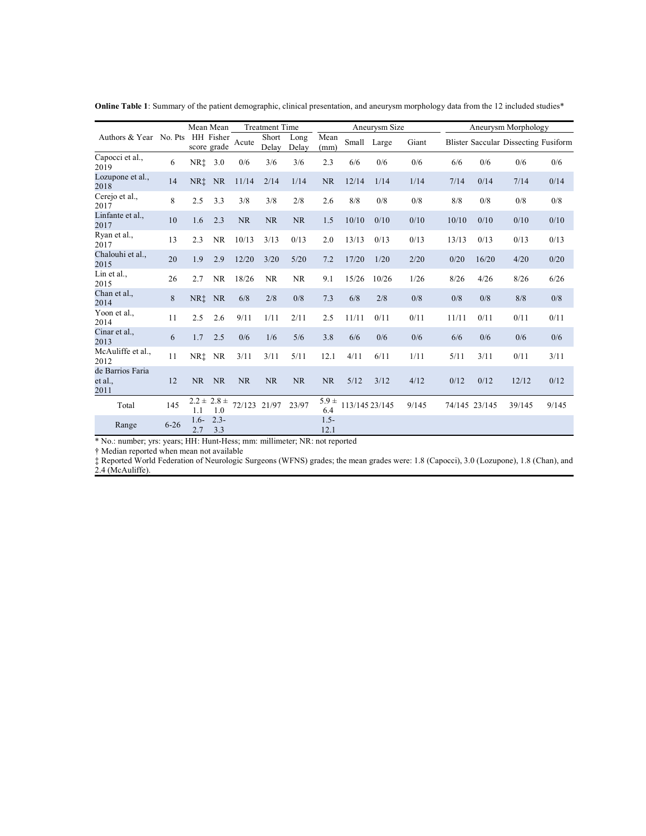|                                     |          |                 | Mean Mean                | <b>Treatment Time</b> |                |               | Aneurysm Size    |                |             |       | Aneurysm Morphology |               |                                      |       |
|-------------------------------------|----------|-----------------|--------------------------|-----------------------|----------------|---------------|------------------|----------------|-------------|-------|---------------------|---------------|--------------------------------------|-------|
| Authors & Year No. Pts              |          |                 | HH Fisher<br>score grade | Acute                 | Short<br>Delay | Long<br>Delay | Mean<br>(mm)     |                | Small Large | Giant |                     |               | Blister Saccular Dissecting Fusiform |       |
| Capocci et al.,<br>2019             | 6        | NR‡             | 3.0                      | 0/6                   | 3/6            | 3/6           | 2.3              | 6/6            | 0/6         | 0/6   | 6/6                 | 0/6           | 0/6                                  | 0/6   |
| Lozupone et al.,<br>2018            | 14       | NR <sup>t</sup> | <b>NR</b>                | 11/14                 | 2/14           | 1/14          | <b>NR</b>        | 12/14          | 1/14        | 1/14  | 7/14                | 0/14          | 7/14                                 | 0/14  |
| Cerejo et al.,<br>2017              | 8        | 2.5             | 3.3                      | 3/8                   | 3/8            | 2/8           | 2.6              | 8/8            | 0/8         | 0/8   | 8/8                 | 0/8           | 0/8                                  | 0/8   |
| Linfante et al.,<br>2017            | 10       | 1.6             | 2.3                      | <b>NR</b>             | <b>NR</b>      | NR            | 1.5              | 10/10          | 0/10        | 0/10  | 10/10               | 0/10          | 0/10                                 | 0/10  |
| Ryan et al.,<br>2017                | 13       | 2.3             | <b>NR</b>                | 10/13                 | 3/13           | 0/13          | 2.0              | 13/13          | 0/13        | 0/13  | 13/13               | 0/13          | 0/13                                 | 0/13  |
| Chalouhi et al.,<br>2015            | 20       | 1.9             | 2.9                      | 12/20                 | 3/20           | 5/20          | 7.2              | 17/20          | 1/20        | 2/20  | 0/20                | 16/20         | 4/20                                 | 0/20  |
| Lin et al.,<br>2015                 | 26       | 2.7             | <b>NR</b>                | 18/26                 | <b>NR</b>      | <b>NR</b>     | 9.1              | 15/26          | 10/26       | 1/26  | 8/26                | 4/26          | 8/26                                 | 6/26  |
| Chan et al.,<br>2014                | 8        | NR <sup>†</sup> | <b>NR</b>                | 6/8                   | 2/8            | 0/8           | 7.3              | 6/8            | 2/8         | 0/8   | 0/8                 | 0/8           | 8/8                                  | 0/8   |
| Yoon et al.,<br>2014                | 11       | 2.5             | 2.6                      | 9/11                  | 1/11           | 2/11          | 2.5              | 11/11          | 0/11        | 0/11  | 11/11               | 0/11          | 0/11                                 | 0/11  |
| Cinar et al.,<br>2013               | 6        | 1.7             | 2.5                      | 0/6                   | 1/6            | 5/6           | 3.8              | 6/6            | 0/6         | 0/6   | 6/6                 | 0/6           | 0/6                                  | 0/6   |
| McAuliffe et al.,<br>2012           | 11       | NR†             | <b>NR</b>                | 3/11                  | 3/11           | 5/11          | 12.1             | 4/11           | 6/11        | 1/11  | 5/11                | 3/11          | 0/11                                 | 3/11  |
| de Barrios Faria<br>et al.,<br>2011 | 12       | NR.             | <b>NR</b>                | <b>NR</b>             | <b>NR</b>      | <b>NR</b>     | NR.              | 5/12           | 3/12        | 4/12  | 0/12                | 0/12          | 12/12                                | 0/12  |
| Total                               | 145      | 1.1             | $2.2 \pm 2.8 \pm$<br>1.0 | 72/123 21/97          |                | 23/97         | $5.9 \pm$<br>6.4 | 113/145 23/145 |             | 9/145 |                     | 74/145 23/145 | 39/145                               | 9/145 |
| Range                               | $6 - 26$ | $1.6-$<br>2.7   | $2.3 -$<br>3.3           |                       |                |               | $1.5 -$<br>12.1  |                |             |       |                     |               |                                      |       |

**Online Table 1**: Summary of the patient demographic, clinical presentation, and aneurysm morphology data from the 12 included studies\*

\* No.: number; yrs: years; HH: Hunt-Hess; mm: millimeter; NR: not reported

† Median reported when mean not available

‡ Reported World Federation of Neurologic Surgeons (WFNS) grades; the mean grades were: 1.8 (Capocci), 3.0 (Lozupone), 1.8 (Chan), and 2.4 (McAuliffe).